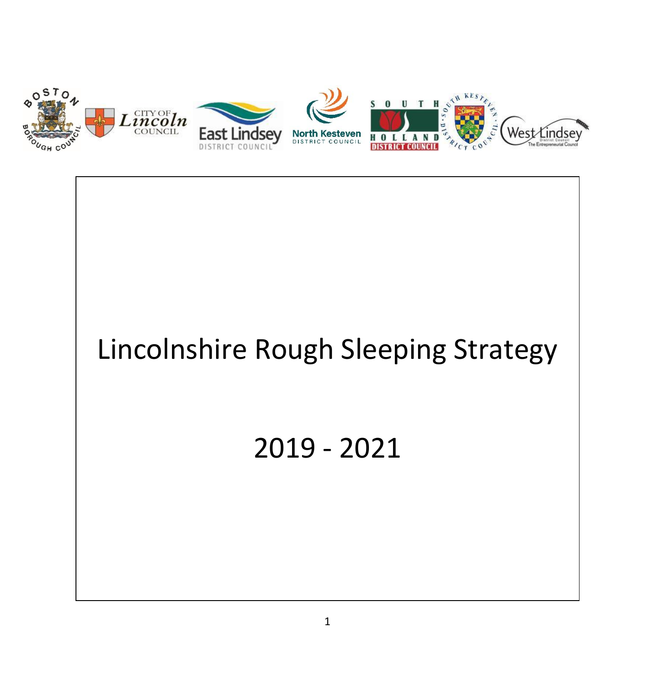

# Lincolnshire Rough Sleeping Strategy

# 2019 - 2021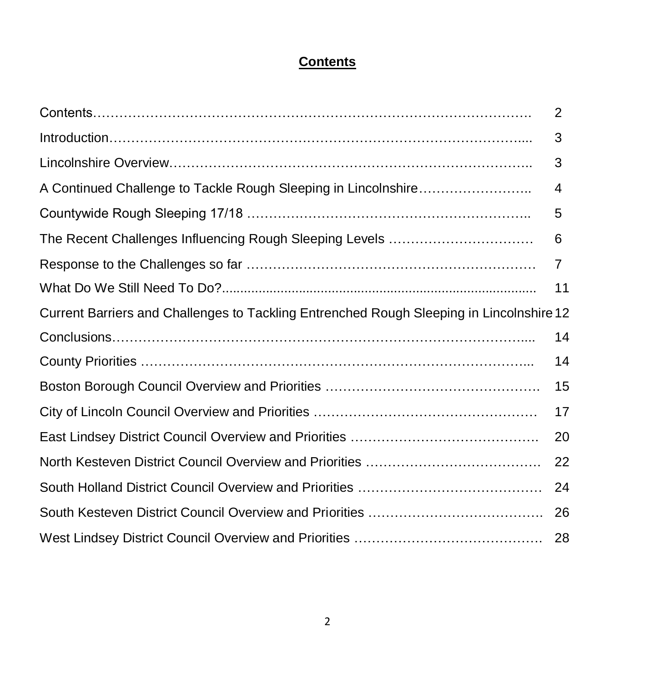# **Contents**

|                                                                                          | $\overline{2}$ |
|------------------------------------------------------------------------------------------|----------------|
|                                                                                          | 3              |
|                                                                                          | 3              |
| A Continued Challenge to Tackle Rough Sleeping in Lincolnshire                           | 4              |
|                                                                                          | 5              |
|                                                                                          | 6              |
|                                                                                          | 7              |
|                                                                                          | 11             |
| Current Barriers and Challenges to Tackling Entrenched Rough Sleeping in Lincolnshire 12 |                |
|                                                                                          | 14             |
|                                                                                          | 14             |
|                                                                                          | 15             |
|                                                                                          | 17             |
|                                                                                          | 20             |
|                                                                                          | 22             |
|                                                                                          | 24             |
|                                                                                          | 26             |
|                                                                                          | 28             |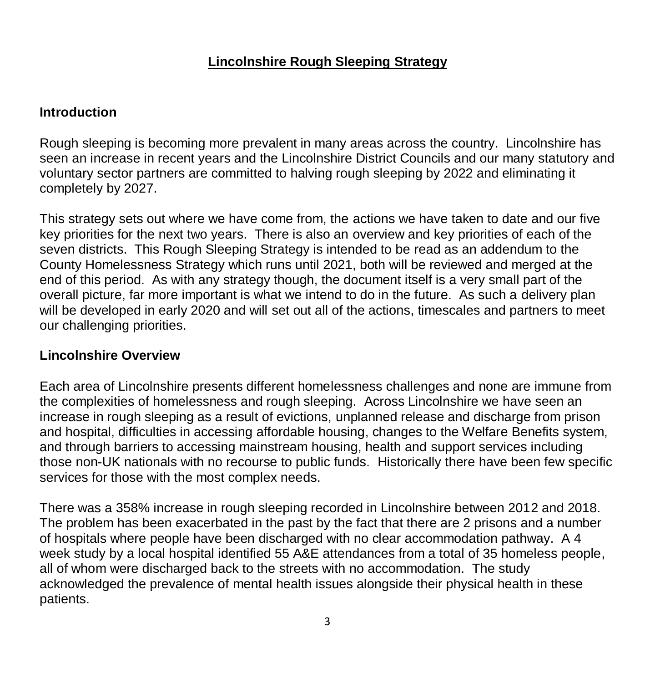# **Lincolnshire Rough Sleeping Strategy**

#### **Introduction**

Rough sleeping is becoming more prevalent in many areas across the country. Lincolnshire has seen an increase in recent years and the Lincolnshire District Councils and our many statutory and voluntary sector partners are committed to halving rough sleeping by 2022 and eliminating it completely by 2027.

This strategy sets out where we have come from, the actions we have taken to date and our five key priorities for the next two years. There is also an overview and key priorities of each of the seven districts. This Rough Sleeping Strategy is intended to be read as an addendum to the County Homelessness Strategy which runs until 2021, both will be reviewed and merged at the end of this period. As with any strategy though, the document itself is a very small part of the overall picture, far more important is what we intend to do in the future. As such a delivery plan will be developed in early 2020 and will set out all of the actions, timescales and partners to meet our challenging priorities.

#### **Lincolnshire Overview**

Each area of Lincolnshire presents different homelessness challenges and none are immune from the complexities of homelessness and rough sleeping. Across Lincolnshire we have seen an increase in rough sleeping as a result of evictions, unplanned release and discharge from prison and hospital, difficulties in accessing affordable housing, changes to the Welfare Benefits system, and through barriers to accessing mainstream housing, health and support services including those non-UK nationals with no recourse to public funds. Historically there have been few specific services for those with the most complex needs.

There was a 358% increase in rough sleeping recorded in Lincolnshire between 2012 and 2018. The problem has been exacerbated in the past by the fact that there are 2 prisons and a number of hospitals where people have been discharged with no clear accommodation pathway. A 4 week study by a local hospital identified 55 A&E attendances from a total of 35 homeless people, all of whom were discharged back to the streets with no accommodation. The study acknowledged the prevalence of mental health issues alongside their physical health in these patients.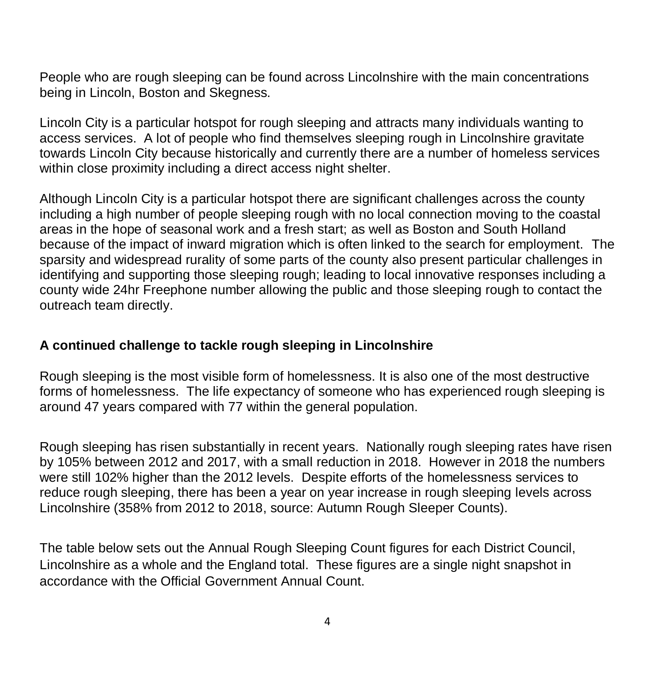People who are rough sleeping can be found across Lincolnshire with the main concentrations being in Lincoln, Boston and Skegness.

Lincoln City is a particular hotspot for rough sleeping and attracts many individuals wanting to access services. A lot of people who find themselves sleeping rough in Lincolnshire gravitate towards Lincoln City because historically and currently there are a number of homeless services within close proximity including a direct access night shelter.

Although Lincoln City is a particular hotspot there are significant challenges across the county including a high number of people sleeping rough with no local connection moving to the coastal areas in the hope of seasonal work and a fresh start; as well as Boston and South Holland because of the impact of inward migration which is often linked to the search for employment. The sparsity and widespread rurality of some parts of the county also present particular challenges in identifying and supporting those sleeping rough; leading to local innovative responses including a county wide 24hr Freephone number allowing the public and those sleeping rough to contact the outreach team directly.

#### **A continued challenge to tackle rough sleeping in Lincolnshire**

Rough sleeping is the most visible form of homelessness. It is also one of the most destructive forms of homelessness. The life expectancy of someone who has experienced rough sleeping is around 47 years compared with 77 within the general population.

Rough sleeping has risen substantially in recent years. Nationally rough sleeping rates have risen by 105% between 2012 and 2017, with a small reduction in 2018. However in 2018 the numbers were still 102% higher than the 2012 levels. Despite efforts of the homelessness services to reduce rough sleeping, there has been a year on year increase in rough sleeping levels across Lincolnshire (358% from 2012 to 2018, source: Autumn Rough Sleeper Counts).

The table below sets out the Annual Rough Sleeping Count figures for each District Council, Lincolnshire as a whole and the England total. These figures are a single night snapshot in accordance with the Official Government Annual Count.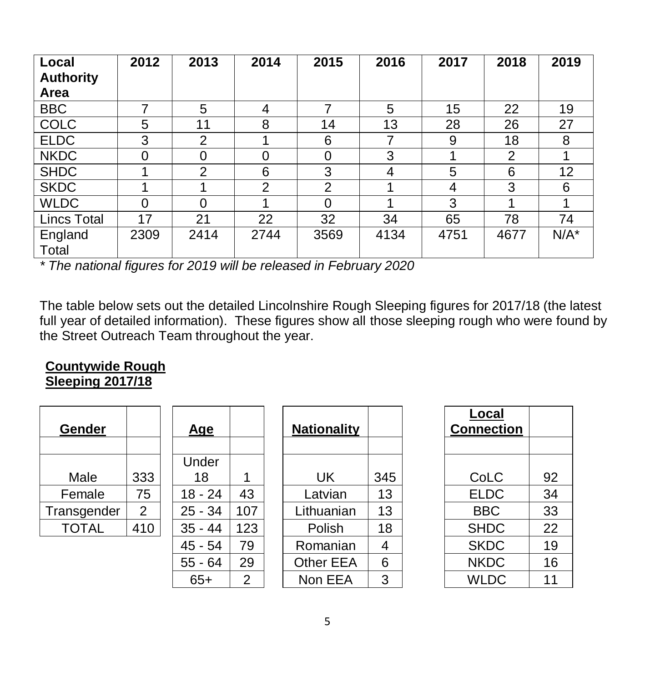| Local<br><b>Authority</b><br>Area | 2012           | 2013           | 2014           | 2015           | 2016 | 2017 | 2018           | 2019    |
|-----------------------------------|----------------|----------------|----------------|----------------|------|------|----------------|---------|
| <b>BBC</b>                        |                | 5              | 4              | ⇁              | 5    | 15   | 22             | 19      |
| <b>COLC</b>                       | 5              | 11             | 8              | 14             | 13   | 28   | 26             | 27      |
| <b>ELDC</b>                       | 3              | $\overline{2}$ |                | 6              | 7    | 9    | 18             | 8       |
| <b>NKDC</b>                       | $\overline{0}$ | $\overline{0}$ | $\overline{0}$ | $\overline{0}$ | 3    |      | $\overline{2}$ |         |
| <b>SHDC</b>                       |                | $\overline{2}$ | 6              | 3              | 4    | 5    | 6              | 12      |
| <b>SKDC</b>                       |                | 1              | 2              | 2              |      | 4    | 3              | 6       |
| <b>WLDC</b>                       | $\overline{0}$ | $\overline{0}$ |                | 0              |      | 3    |                |         |
| <b>Lincs Total</b>                | 17             | 21             | 22             | 32             | 34   | 65   | 78             | 74      |
| England<br>Total                  | 2309           | 2414           | 2744           | 3569           | 4134 | 4751 | 4677           | $N/A^*$ |

*\* The national figures for 2019 will be released in February 2020*

The table below sets out the detailed Lincolnshire Rough Sleeping figures for 2017/18 (the latest full year of detailed information). These figures show all those sleeping rough who were found by the Street Outreach Team throughout the year.

#### **Countywide Rough Sleeping 2017/18**

| <b>Gender</b> |                | <u>Age</u> |     | <b>Nationality</b> |     | Local<br><b>Connection</b> |    |
|---------------|----------------|------------|-----|--------------------|-----|----------------------------|----|
|               |                |            |     |                    |     |                            |    |
|               |                | Under      |     |                    |     |                            |    |
| Male          | 333            | 18         |     | UK                 | 345 | CoLC                       | 92 |
| Female        | 75             | $18 - 24$  | 43  | Latvian            | 13  | <b>ELDC</b>                | 34 |
| Transgender   | $\overline{2}$ | $25 - 34$  | 107 | Lithuanian         | 13  | <b>BBC</b>                 | 33 |
| <b>TOTAL</b>  | 410            | $35 - 44$  | 123 | Polish             | 18  | <b>SHDC</b>                | 22 |
|               |                | $45 - 54$  | 79  | Romanian           | 4   | <b>SKDC</b>                | 19 |
|               |                | $55 - 64$  | 29  | <b>Other EEA</b>   | 6   | <b>NKDC</b>                | 16 |
|               |                | $65+$      | 2   | Non EEA            | 3   | <b>WLDC</b>                | 11 |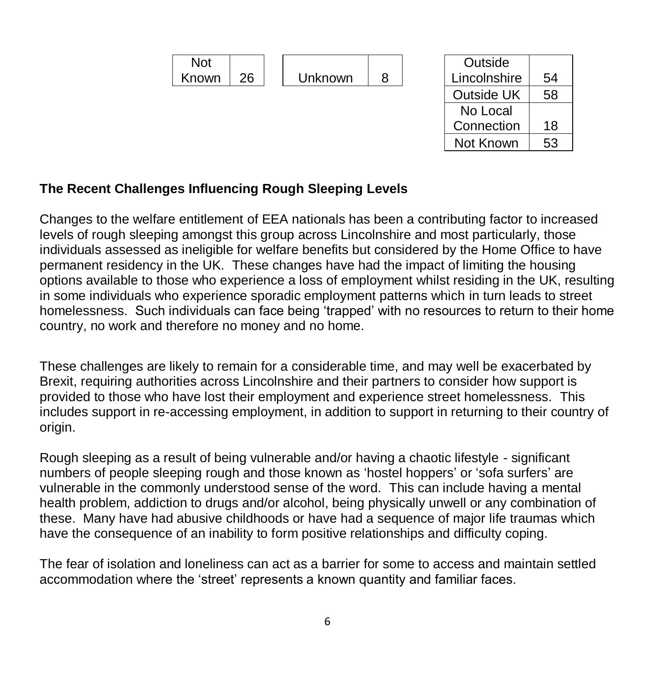

#### **The Recent Challenges Influencing Rough Sleeping Levels**

Changes to the welfare entitlement of EEA nationals has been a contributing factor to increased levels of rough sleeping amongst this group across Lincolnshire and most particularly, those individuals assessed as ineligible for welfare benefits but considered by the Home Office to have permanent residency in the UK. These changes have had the impact of limiting the housing options available to those who experience a loss of employment whilst residing in the UK, resulting in some individuals who experience sporadic employment patterns which in turn leads to street homelessness. Such individuals can face being 'trapped' with no resources to return to their home country, no work and therefore no money and no home.

These challenges are likely to remain for a considerable time, and may well be exacerbated by Brexit, requiring authorities across Lincolnshire and their partners to consider how support is provided to those who have lost their employment and experience street homelessness. This includes support in re-accessing employment, in addition to support in returning to their country of origin.

Rough sleeping as a result of being vulnerable and/or having a chaotic lifestyle - significant numbers of people sleeping rough and those known as 'hostel hoppers' or 'sofa surfers' are vulnerable in the commonly understood sense of the word. This can include having a mental health problem, addiction to drugs and/or alcohol, being physically unwell or any combination of these. Many have had abusive childhoods or have had a sequence of major life traumas which have the consequence of an inability to form positive relationships and difficulty coping.

The fear of isolation and loneliness can act as a barrier for some to access and maintain settled accommodation where the 'street' represents a known quantity and familiar faces.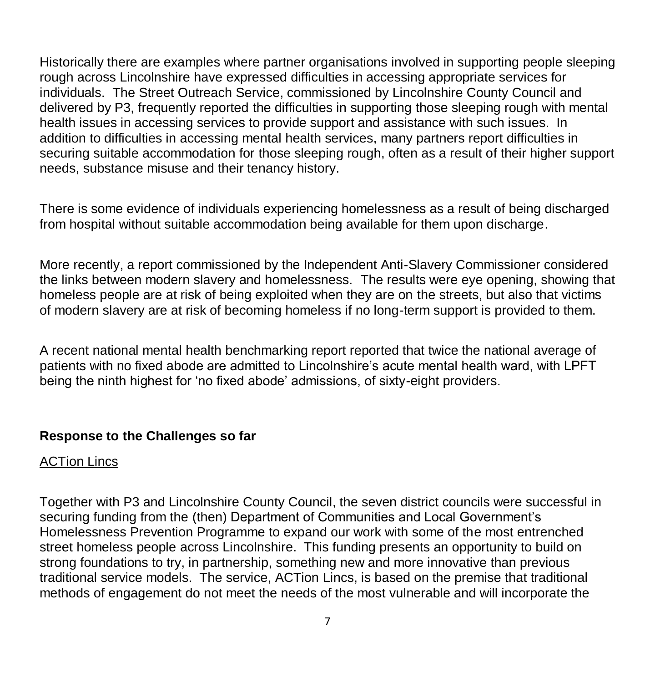Historically there are examples where partner organisations involved in supporting people sleeping rough across Lincolnshire have expressed difficulties in accessing appropriate services for individuals. The Street Outreach Service, commissioned by Lincolnshire County Council and delivered by P3, frequently reported the difficulties in supporting those sleeping rough with mental health issues in accessing services to provide support and assistance with such issues. In addition to difficulties in accessing mental health services, many partners report difficulties in securing suitable accommodation for those sleeping rough, often as a result of their higher support needs, substance misuse and their tenancy history.

There is some evidence of individuals experiencing homelessness as a result of being discharged from hospital without suitable accommodation being available for them upon discharge.

More recently, a report commissioned by the Independent Anti-Slavery Commissioner considered the links between modern slavery and homelessness. The results were eye opening, showing that homeless people are at risk of being exploited when they are on the streets, but also that victims of modern slavery are at risk of becoming homeless if no long-term support is provided to them.

A recent national mental health benchmarking report reported that twice the national average of patients with no fixed abode are admitted to Lincolnshire's acute mental health ward, with LPFT being the ninth highest for 'no fixed abode' admissions, of sixty-eight providers.

#### **Response to the Challenges so far**

#### ACTion Lincs

Together with P3 and Lincolnshire County Council, the seven district councils were successful in securing funding from the (then) Department of Communities and Local Government's Homelessness Prevention Programme to expand our work with some of the most entrenched street homeless people across Lincolnshire. This funding presents an opportunity to build on strong foundations to try, in partnership, something new and more innovative than previous traditional service models. The service, ACTion Lincs, is based on the premise that traditional methods of engagement do not meet the needs of the most vulnerable and will incorporate the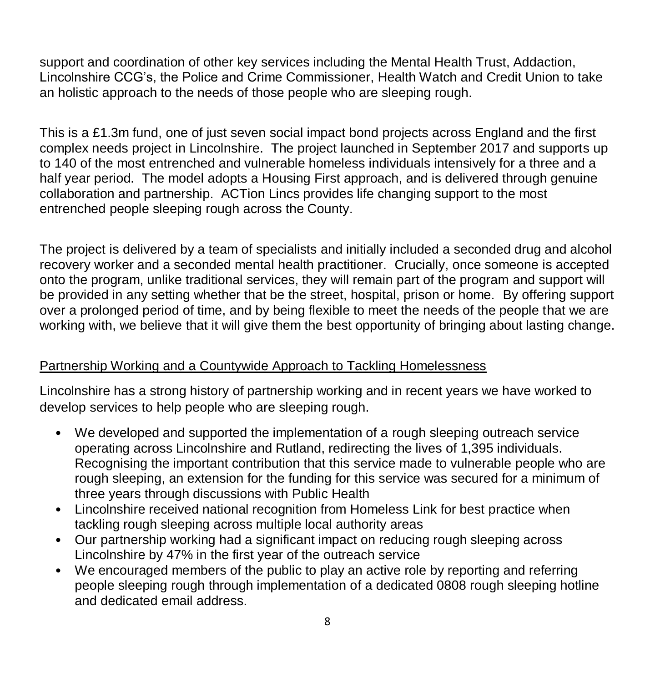support and coordination of other key services including the Mental Health Trust, Addaction, Lincolnshire CCG's, the Police and Crime Commissioner, Health Watch and Credit Union to take an holistic approach to the needs of those people who are sleeping rough.

This is a £1.3m fund, one of just seven social impact bond projects across England and the first complex needs project in Lincolnshire. The project launched in September 2017 and supports up to 140 of the most entrenched and vulnerable homeless individuals intensively for a three and a half year period. The model adopts a Housing First approach, and is delivered through genuine collaboration and partnership. ACTion Lincs provides life changing support to the most entrenched people sleeping rough across the County.

The project is delivered by a team of specialists and initially included a seconded drug and alcohol recovery worker and a seconded mental health practitioner. Crucially, once someone is accepted onto the program, unlike traditional services, they will remain part of the program and support will be provided in any setting whether that be the street, hospital, prison or home. By offering support over a prolonged period of time, and by being flexible to meet the needs of the people that we are working with, we believe that it will give them the best opportunity of bringing about lasting change.

# Partnership Working and a Countywide Approach to Tackling Homelessness

Lincolnshire has a strong history of partnership working and in recent years we have worked to develop services to help people who are sleeping rough.

- We developed and supported the implementation of a rough sleeping outreach service operating across Lincolnshire and Rutland, redirecting the lives of 1,395 individuals. Recognising the important contribution that this service made to vulnerable people who are rough sleeping, an extension for the funding for this service was secured for a minimum of three years through discussions with Public Health
- Lincolnshire received national recognition from Homeless Link for best practice when tackling rough sleeping across multiple local authority areas
- Our partnership working had a significant impact on reducing rough sleeping across Lincolnshire by 47% in the first year of the outreach service
- We encouraged members of the public to play an active role by reporting and referring people sleeping rough through implementation of a dedicated 0808 rough sleeping hotline and dedicated email address.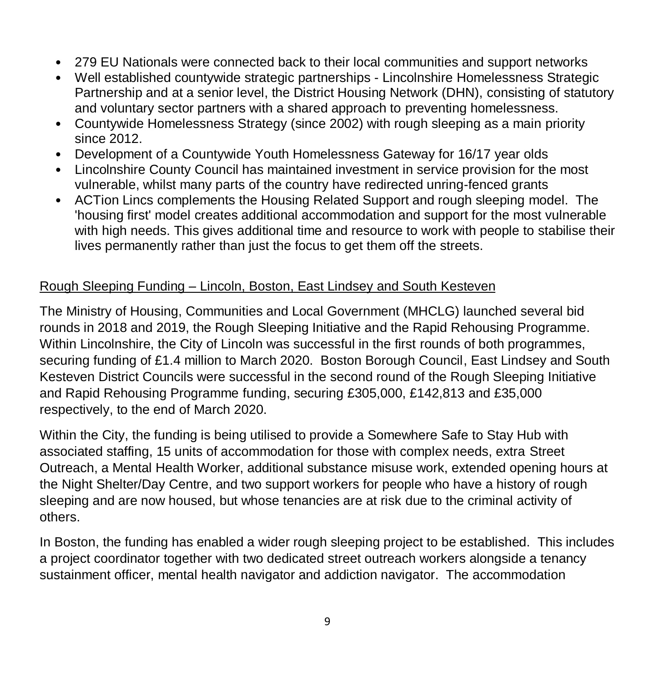- 279 EU Nationals were connected back to their local communities and support networks
- Well established countywide strategic partnerships Lincolnshire Homelessness Strategic Partnership and at a senior level, the District Housing Network (DHN), consisting of statutory and voluntary sector partners with a shared approach to preventing homelessness.
- Countywide Homelessness Strategy (since 2002) with rough sleeping as a main priority since 2012.
- Development of a Countywide Youth Homelessness Gateway for 16/17 year olds
- Lincolnshire County Council has maintained investment in service provision for the most vulnerable, whilst many parts of the country have redirected unring-fenced grants
- ACTion Lincs complements the Housing Related Support and rough sleeping model. The 'housing first' model creates additional accommodation and support for the most vulnerable with high needs. This gives additional time and resource to work with people to stabilise their lives permanently rather than just the focus to get them off the streets.

#### Rough Sleeping Funding – Lincoln, Boston, East Lindsey and South Kesteven

The Ministry of Housing, Communities and Local Government (MHCLG) launched several bid rounds in 2018 and 2019, the Rough Sleeping Initiative and the Rapid Rehousing Programme. Within Lincolnshire, the City of Lincoln was successful in the first rounds of both programmes, securing funding of £1.4 million to March 2020. Boston Borough Council, East Lindsey and South Kesteven District Councils were successful in the second round of the Rough Sleeping Initiative and Rapid Rehousing Programme funding, securing £305,000, £142,813 and £35,000 respectively, to the end of March 2020.

Within the City, the funding is being utilised to provide a Somewhere Safe to Stay Hub with associated staffing, 15 units of accommodation for those with complex needs, extra Street Outreach, a Mental Health Worker, additional substance misuse work, extended opening hours at the Night Shelter/Day Centre, and two support workers for people who have a history of rough sleeping and are now housed, but whose tenancies are at risk due to the criminal activity of others.

In Boston, the funding has enabled a wider rough sleeping project to be established. This includes a project coordinator together with two dedicated street outreach workers alongside a tenancy sustainment officer, mental health navigator and addiction navigator. The accommodation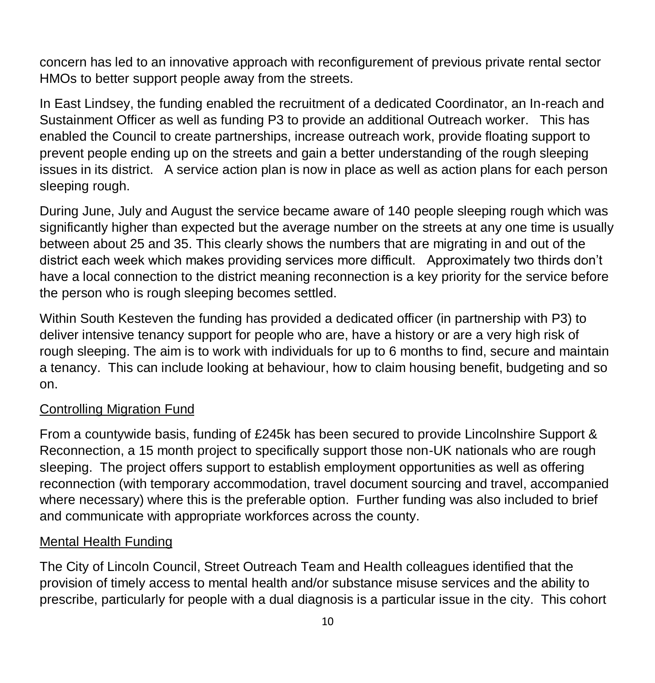concern has led to an innovative approach with reconfigurement of previous private rental sector HMOs to better support people away from the streets.

In East Lindsey, the funding enabled the recruitment of a dedicated Coordinator, an In-reach and Sustainment Officer as well as funding P3 to provide an additional Outreach worker. This has enabled the Council to create partnerships, increase outreach work, provide floating support to prevent people ending up on the streets and gain a better understanding of the rough sleeping issues in its district. A service action plan is now in place as well as action plans for each person sleeping rough.

During June, July and August the service became aware of 140 people sleeping rough which was significantly higher than expected but the average number on the streets at any one time is usually between about 25 and 35. This clearly shows the numbers that are migrating in and out of the district each week which makes providing services more difficult. Approximately two thirds don't have a local connection to the district meaning reconnection is a key priority for the service before the person who is rough sleeping becomes settled.

Within South Kesteven the funding has provided a dedicated officer (in partnership with P3) to deliver intensive tenancy support for people who are, have a history or are a very high risk of rough sleeping. The aim is to work with individuals for up to 6 months to find, secure and maintain a tenancy. This can include looking at behaviour, how to claim housing benefit, budgeting and so on.

#### Controlling Migration Fund

From a countywide basis, funding of £245k has been secured to provide Lincolnshire Support & Reconnection, a 15 month project to specifically support those non-UK nationals who are rough sleeping. The project offers support to establish employment opportunities as well as offering reconnection (with temporary accommodation, travel document sourcing and travel, accompanied where necessary) where this is the preferable option. Further funding was also included to brief and communicate with appropriate workforces across the county.

#### Mental Health Funding

The City of Lincoln Council, Street Outreach Team and Health colleagues identified that the provision of timely access to mental health and/or substance misuse services and the ability to prescribe, particularly for people with a dual diagnosis is a particular issue in the city. This cohort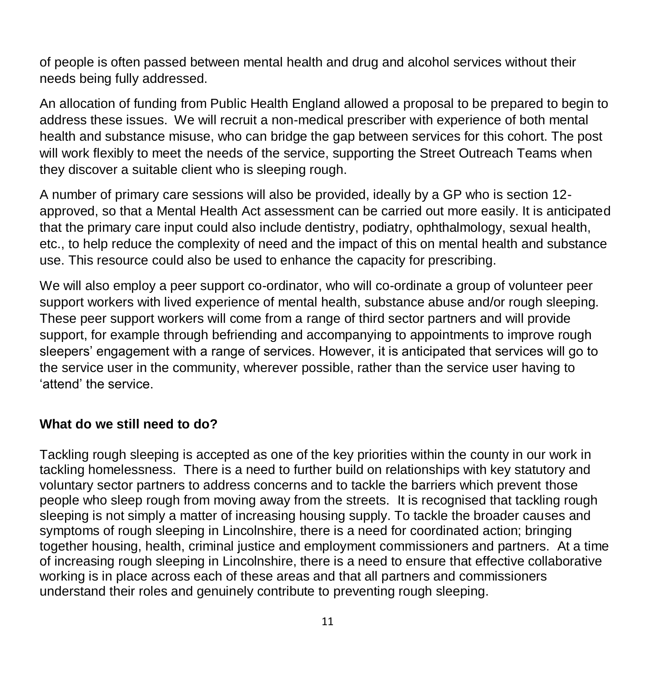of people is often passed between mental health and drug and alcohol services without their needs being fully addressed.

An allocation of funding from Public Health England allowed a proposal to be prepared to begin to address these issues. We will recruit a non-medical prescriber with experience of both mental health and substance misuse, who can bridge the gap between services for this cohort. The post will work flexibly to meet the needs of the service, supporting the Street Outreach Teams when they discover a suitable client who is sleeping rough.

A number of primary care sessions will also be provided, ideally by a GP who is section 12 approved, so that a Mental Health Act assessment can be carried out more easily. It is anticipated that the primary care input could also include dentistry, podiatry, ophthalmology, sexual health, etc., to help reduce the complexity of need and the impact of this on mental health and substance use. This resource could also be used to enhance the capacity for prescribing.

We will also employ a peer support co-ordinator, who will co-ordinate a group of volunteer peer support workers with lived experience of mental health, substance abuse and/or rough sleeping. These peer support workers will come from a range of third sector partners and will provide support, for example through befriending and accompanying to appointments to improve rough sleepers' engagement with a range of services. However, it is anticipated that services will go to the service user in the community, wherever possible, rather than the service user having to 'attend' the service.

#### **What do we still need to do?**

Tackling rough sleeping is accepted as one of the key priorities within the county in our work in tackling homelessness. There is a need to further build on relationships with key statutory and voluntary sector partners to address concerns and to tackle the barriers which prevent those people who sleep rough from moving away from the streets. It is recognised that tackling rough sleeping is not simply a matter of increasing housing supply. To tackle the broader causes and symptoms of rough sleeping in Lincolnshire, there is a need for coordinated action; bringing together housing, health, criminal justice and employment commissioners and partners. At a time of increasing rough sleeping in Lincolnshire, there is a need to ensure that effective collaborative working is in place across each of these areas and that all partners and commissioners understand their roles and genuinely contribute to preventing rough sleeping.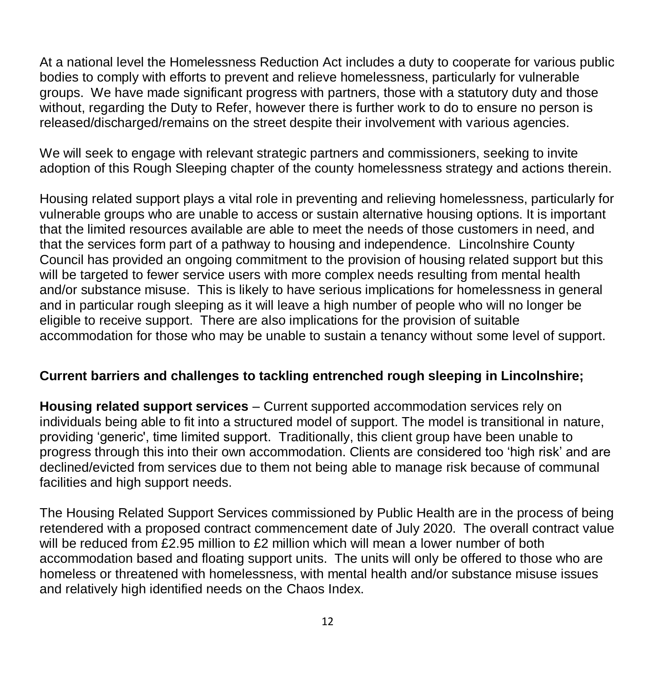At a national level the Homelessness Reduction Act includes a duty to cooperate for various public bodies to comply with efforts to prevent and relieve homelessness, particularly for vulnerable groups. We have made significant progress with partners, those with a statutory duty and those without, regarding the Duty to Refer, however there is further work to do to ensure no person is released/discharged/remains on the street despite their involvement with various agencies.

We will seek to engage with relevant strategic partners and commissioners, seeking to invite adoption of this Rough Sleeping chapter of the county homelessness strategy and actions therein.

Housing related support plays a vital role in preventing and relieving homelessness, particularly for vulnerable groups who are unable to access or sustain alternative housing options. It is important that the limited resources available are able to meet the needs of those customers in need, and that the services form part of a pathway to housing and independence. Lincolnshire County Council has provided an ongoing commitment to the provision of housing related support but this will be targeted to fewer service users with more complex needs resulting from mental health and/or substance misuse. This is likely to have serious implications for homelessness in general and in particular rough sleeping as it will leave a high number of people who will no longer be eligible to receive support. There are also implications for the provision of suitable accommodation for those who may be unable to sustain a tenancy without some level of support.

#### **Current barriers and challenges to tackling entrenched rough sleeping in Lincolnshire;**

**Housing related support services** – Current supported accommodation services rely on individuals being able to fit into a structured model of support. The model is transitional in nature, providing 'generic', time limited support. Traditionally, this client group have been unable to progress through this into their own accommodation. Clients are considered too 'high risk' and are declined/evicted from services due to them not being able to manage risk because of communal facilities and high support needs.

The Housing Related Support Services commissioned by Public Health are in the process of being retendered with a proposed contract commencement date of July 2020. The overall contract value will be reduced from £2.95 million to £2 million which will mean a lower number of both accommodation based and floating support units. The units will only be offered to those who are homeless or threatened with homelessness, with mental health and/or substance misuse issues and relatively high identified needs on the Chaos Index.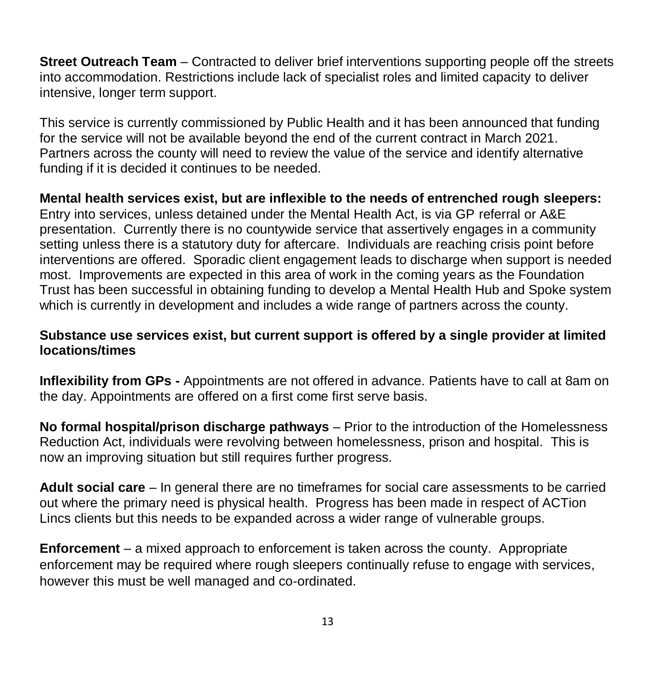**Street Outreach Team** – Contracted to deliver brief interventions supporting people off the streets into accommodation. Restrictions include lack of specialist roles and limited capacity to deliver intensive, longer term support.

This service is currently commissioned by Public Health and it has been announced that funding for the service will not be available beyond the end of the current contract in March 2021. Partners across the county will need to review the value of the service and identify alternative funding if it is decided it continues to be needed.

**Mental health services exist, but are inflexible to the needs of entrenched rough sleepers:**  Entry into services, unless detained under the Mental Health Act, is via GP referral or A&E presentation. Currently there is no countywide service that assertively engages in a community setting unless there is a statutory duty for aftercare. Individuals are reaching crisis point before interventions are offered. Sporadic client engagement leads to discharge when support is needed most. Improvements are expected in this area of work in the coming years as the Foundation Trust has been successful in obtaining funding to develop a Mental Health Hub and Spoke system which is currently in development and includes a wide range of partners across the county.

#### **Substance use services exist, but current support is offered by a single provider at limited locations/times**

**Inflexibility from GPs -** Appointments are not offered in advance. Patients have to call at 8am on the day. Appointments are offered on a first come first serve basis.

**No formal hospital/prison discharge pathways** – Prior to the introduction of the Homelessness Reduction Act, individuals were revolving between homelessness, prison and hospital. This is now an improving situation but still requires further progress.

**Adult social care** – In general there are no timeframes for social care assessments to be carried out where the primary need is physical health. Progress has been made in respect of ACTion Lincs clients but this needs to be expanded across a wider range of vulnerable groups.

**Enforcement** – a mixed approach to enforcement is taken across the county. Appropriate enforcement may be required where rough sleepers continually refuse to engage with services, however this must be well managed and co-ordinated.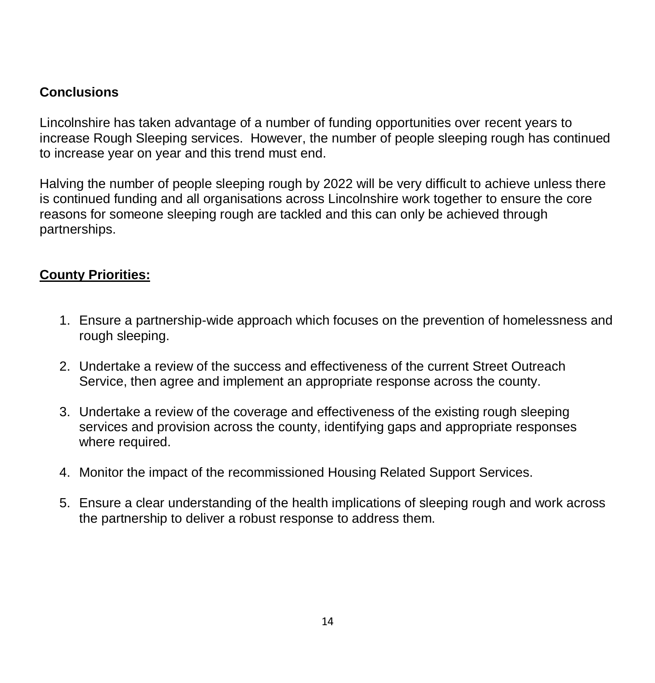#### **Conclusions**

Lincolnshire has taken advantage of a number of funding opportunities over recent years to increase Rough Sleeping services. However, the number of people sleeping rough has continued to increase year on year and this trend must end.

Halving the number of people sleeping rough by 2022 will be very difficult to achieve unless there is continued funding and all organisations across Lincolnshire work together to ensure the core reasons for someone sleeping rough are tackled and this can only be achieved through partnerships.

# **County Priorities:**

- 1. Ensure a partnership-wide approach which focuses on the prevention of homelessness and rough sleeping.
- 2. Undertake a review of the success and effectiveness of the current Street Outreach Service, then agree and implement an appropriate response across the county.
- 3. Undertake a review of the coverage and effectiveness of the existing rough sleeping services and provision across the county, identifying gaps and appropriate responses where required.
- 4. Monitor the impact of the recommissioned Housing Related Support Services.
- 5. Ensure a clear understanding of the health implications of sleeping rough and work across the partnership to deliver a robust response to address them.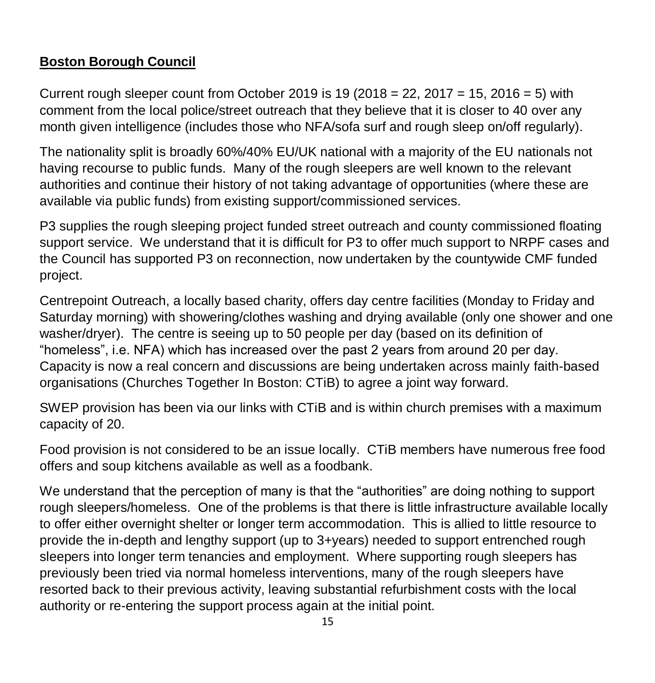# **Boston Borough Council**

Current rough sleeper count from October 2019 is 19 (2018 = 22, 2017 = 15, 2016 = 5) with comment from the local police/street outreach that they believe that it is closer to 40 over any month given intelligence (includes those who NFA/sofa surf and rough sleep on/off regularly).

The nationality split is broadly 60%/40% EU/UK national with a majority of the EU nationals not having recourse to public funds. Many of the rough sleepers are well known to the relevant authorities and continue their history of not taking advantage of opportunities (where these are available via public funds) from existing support/commissioned services.

P3 supplies the rough sleeping project funded street outreach and county commissioned floating support service. We understand that it is difficult for P3 to offer much support to NRPF cases and the Council has supported P3 on reconnection, now undertaken by the countywide CMF funded project.

Centrepoint Outreach, a locally based charity, offers day centre facilities (Monday to Friday and Saturday morning) with showering/clothes washing and drying available (only one shower and one washer/dryer). The centre is seeing up to 50 people per day (based on its definition of "homeless", i.e. NFA) which has increased over the past 2 years from around 20 per day. Capacity is now a real concern and discussions are being undertaken across mainly faith-based organisations (Churches Together In Boston: CTiB) to agree a joint way forward.

SWEP provision has been via our links with CTiB and is within church premises with a maximum capacity of 20.

Food provision is not considered to be an issue locally. CTiB members have numerous free food offers and soup kitchens available as well as a foodbank.

We understand that the perception of many is that the "authorities" are doing nothing to support rough sleepers/homeless. One of the problems is that there is little infrastructure available locally to offer either overnight shelter or longer term accommodation. This is allied to little resource to provide the in-depth and lengthy support (up to 3+years) needed to support entrenched rough sleepers into longer term tenancies and employment. Where supporting rough sleepers has previously been tried via normal homeless interventions, many of the rough sleepers have resorted back to their previous activity, leaving substantial refurbishment costs with the local authority or re-entering the support process again at the initial point.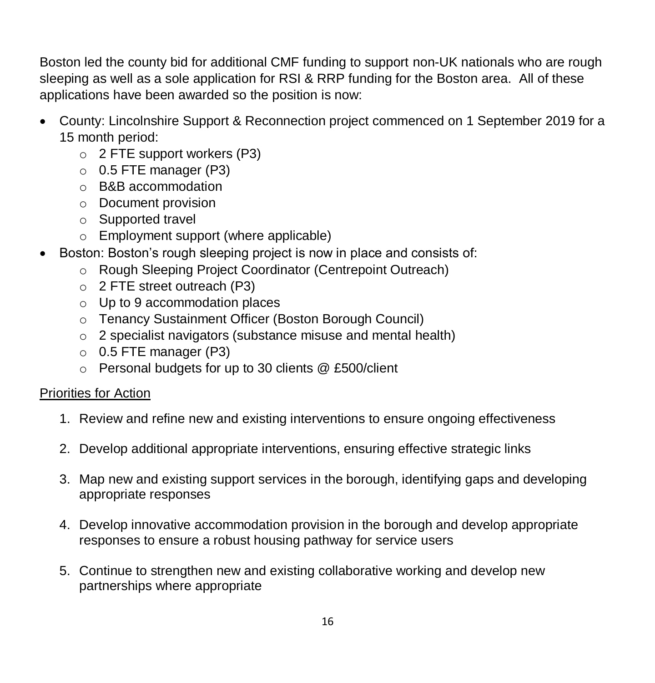Boston led the county bid for additional CMF funding to support non-UK nationals who are rough sleeping as well as a sole application for RSI & RRP funding for the Boston area. All of these applications have been awarded so the position is now:

- County: Lincolnshire Support & Reconnection project commenced on 1 September 2019 for a 15 month period:
	- o 2 FTE support workers (P3)
	- $\circ$  0.5 FTE manager (P3)
	- o B&B accommodation
	- o Document provision
	- o Supported travel
	- o Employment support (where applicable)
- Boston: Boston's rough sleeping project is now in place and consists of:
	- o Rough Sleeping Project Coordinator (Centrepoint Outreach)
	- o 2 FTE street outreach (P3)
	- o Up to 9 accommodation places
	- o Tenancy Sustainment Officer (Boston Borough Council)
	- o 2 specialist navigators (substance misuse and mental health)
	- $\circ$  0.5 FTE manager (P3)
	- o Personal budgets for up to 30 clients @ £500/client

- 1. Review and refine new and existing interventions to ensure ongoing effectiveness
- 2. Develop additional appropriate interventions, ensuring effective strategic links
- 3. Map new and existing support services in the borough, identifying gaps and developing appropriate responses
- 4. Develop innovative accommodation provision in the borough and develop appropriate responses to ensure a robust housing pathway for service users
- 5. Continue to strengthen new and existing collaborative working and develop new partnerships where appropriate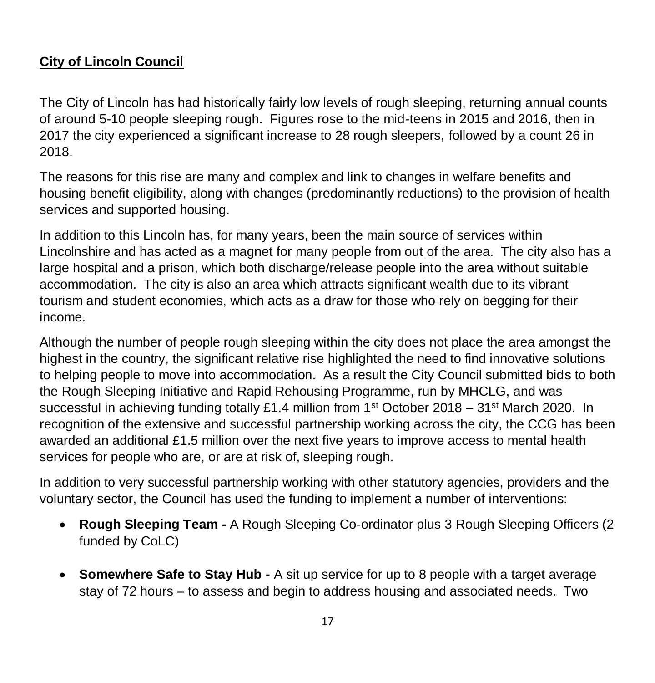# **City of Lincoln Council**

The City of Lincoln has had historically fairly low levels of rough sleeping, returning annual counts of around 5-10 people sleeping rough. Figures rose to the mid-teens in 2015 and 2016, then in 2017 the city experienced a significant increase to 28 rough sleepers, followed by a count 26 in 2018.

The reasons for this rise are many and complex and link to changes in welfare benefits and housing benefit eligibility, along with changes (predominantly reductions) to the provision of health services and supported housing.

In addition to this Lincoln has, for many years, been the main source of services within Lincolnshire and has acted as a magnet for many people from out of the area. The city also has a large hospital and a prison, which both discharge/release people into the area without suitable accommodation. The city is also an area which attracts significant wealth due to its vibrant tourism and student economies, which acts as a draw for those who rely on begging for their income.

Although the number of people rough sleeping within the city does not place the area amongst the highest in the country, the significant relative rise highlighted the need to find innovative solutions to helping people to move into accommodation. As a result the City Council submitted bids to both the Rough Sleeping Initiative and Rapid Rehousing Programme, run by MHCLG, and was successful in achieving funding totally £1.4 million from  $1<sup>st</sup>$  October 2018 –  $31<sup>st</sup>$  March 2020. In recognition of the extensive and successful partnership working across the city, the CCG has been awarded an additional £1.5 million over the next five years to improve access to mental health services for people who are, or are at risk of, sleeping rough.

In addition to very successful partnership working with other statutory agencies, providers and the voluntary sector, the Council has used the funding to implement a number of interventions:

- **Rough Sleeping Team -** A Rough Sleeping Co-ordinator plus 3 Rough Sleeping Officers (2 funded by CoLC)
- **Somewhere Safe to Stay Hub -** A sit up service for up to 8 people with a target average stay of 72 hours – to assess and begin to address housing and associated needs. Two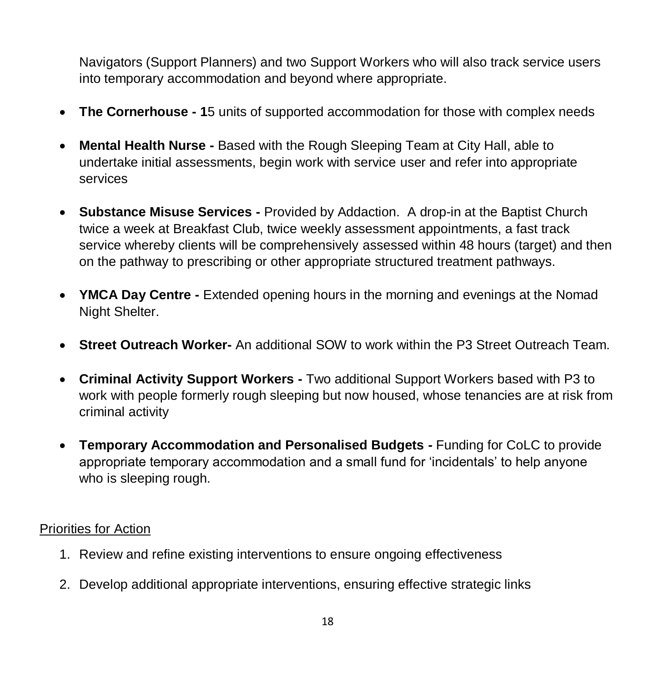Navigators (Support Planners) and two Support Workers who will also track service users into temporary accommodation and beyond where appropriate.

- **The Cornerhouse - 1**5 units of supported accommodation for those with complex needs
- **Mental Health Nurse -** Based with the Rough Sleeping Team at City Hall, able to undertake initial assessments, begin work with service user and refer into appropriate services
- **Substance Misuse Services -** Provided by Addaction. A drop-in at the Baptist Church twice a week at Breakfast Club, twice weekly assessment appointments, a fast track service whereby clients will be comprehensively assessed within 48 hours (target) and then on the pathway to prescribing or other appropriate structured treatment pathways.
- **YMCA Day Centre -** Extended opening hours in the morning and evenings at the Nomad Night Shelter.
- **Street Outreach Worker-** An additional SOW to work within the P3 Street Outreach Team.
- **Criminal Activity Support Workers -** Two additional Support Workers based with P3 to work with people formerly rough sleeping but now housed, whose tenancies are at risk from criminal activity
- **Temporary Accommodation and Personalised Budgets -** Funding for CoLC to provide appropriate temporary accommodation and a small fund for 'incidentals' to help anyone who is sleeping rough.

- 1. Review and refine existing interventions to ensure ongoing effectiveness
- 2. Develop additional appropriate interventions, ensuring effective strategic links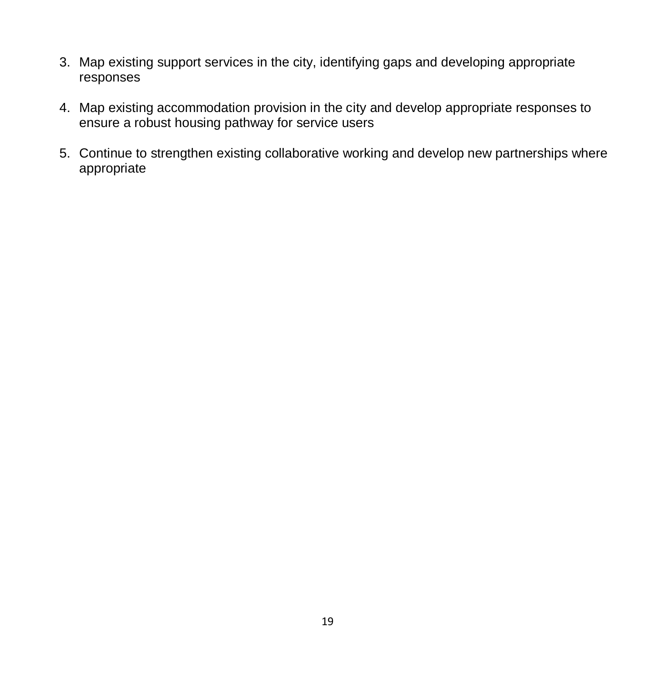- 3. Map existing support services in the city, identifying gaps and developing appropriate responses
- 4. Map existing accommodation provision in the city and develop appropriate responses to ensure a robust housing pathway for service users
- 5. Continue to strengthen existing collaborative working and develop new partnerships where appropriate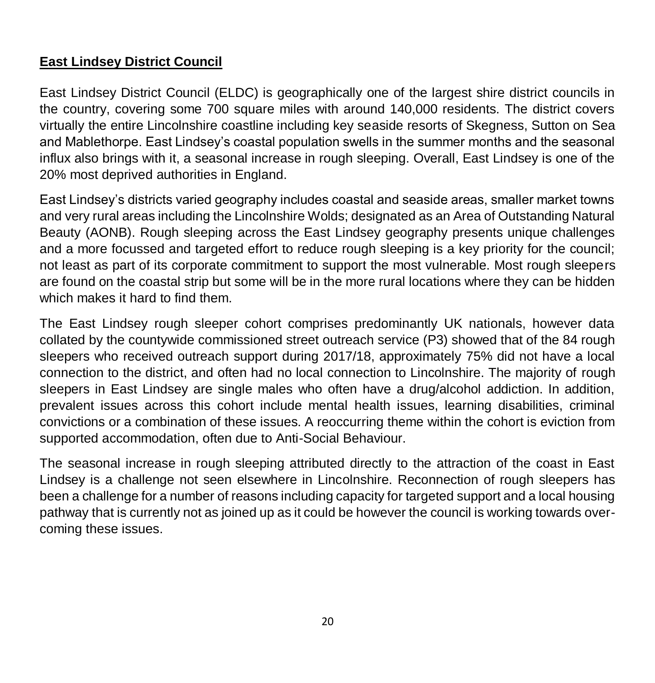# **East Lindsey District Council**

East Lindsey District Council (ELDC) is geographically one of the largest shire district councils in the country, covering some 700 square miles with around 140,000 residents. The district covers virtually the entire Lincolnshire coastline including key seaside resorts of Skegness, Sutton on Sea and Mablethorpe. East Lindsey's coastal population swells in the summer months and the seasonal influx also brings with it, a seasonal increase in rough sleeping. Overall, East Lindsey is one of the 20% most deprived authorities in England.

East Lindsey's districts varied geography includes coastal and seaside areas, smaller market towns and very rural areas including the Lincolnshire Wolds; designated as an Area of Outstanding Natural Beauty (AONB). Rough sleeping across the East Lindsey geography presents unique challenges and a more focussed and targeted effort to reduce rough sleeping is a key priority for the council; not least as part of its corporate commitment to support the most vulnerable. Most rough sleepers are found on the coastal strip but some will be in the more rural locations where they can be hidden which makes it hard to find them.

The East Lindsey rough sleeper cohort comprises predominantly UK nationals, however data collated by the countywide commissioned street outreach service (P3) showed that of the 84 rough sleepers who received outreach support during 2017/18, approximately 75% did not have a local connection to the district, and often had no local connection to Lincolnshire. The majority of rough sleepers in East Lindsey are single males who often have a drug/alcohol addiction. In addition, prevalent issues across this cohort include mental health issues, learning disabilities, criminal convictions or a combination of these issues. A reoccurring theme within the cohort is eviction from supported accommodation, often due to Anti-Social Behaviour.

The seasonal increase in rough sleeping attributed directly to the attraction of the coast in East Lindsey is a challenge not seen elsewhere in Lincolnshire. Reconnection of rough sleepers has been a challenge for a number of reasons including capacity for targeted support and a local housing pathway that is currently not as joined up as it could be however the council is working towards overcoming these issues.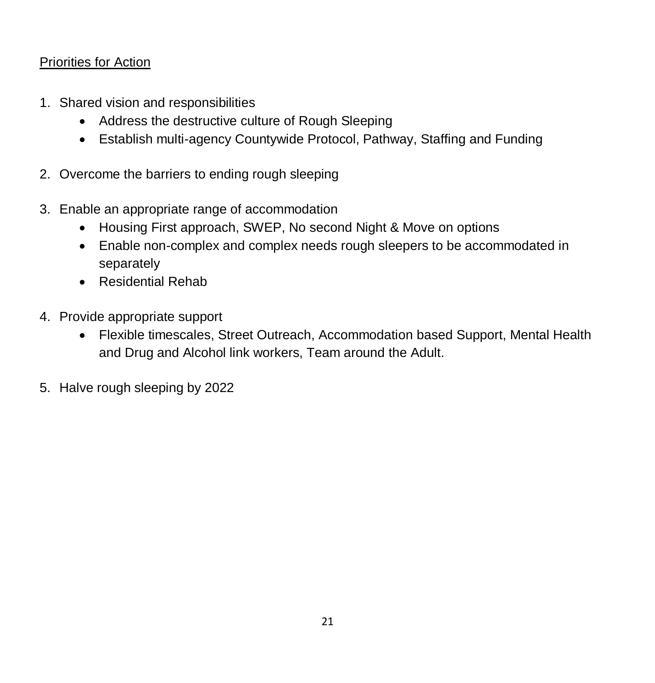- 1. Shared vision and responsibilities
	- Address the destructive culture of Rough Sleeping
	- Establish multi-agency Countywide Protocol, Pathway, Staffing and Funding
- 2. Overcome the barriers to ending rough sleeping
- 3. Enable an appropriate range of accommodation
	- Housing First approach, SWEP, No second Night & Move on options
	- Enable non-complex and complex needs rough sleepers to be accommodated in separately
	- Residential Rehab
- 4. Provide appropriate support
	- Flexible timescales, Street Outreach, Accommodation based Support, Mental Health and Drug and Alcohol link workers, Team around the Adult.
- 5. Halve rough sleeping by 2022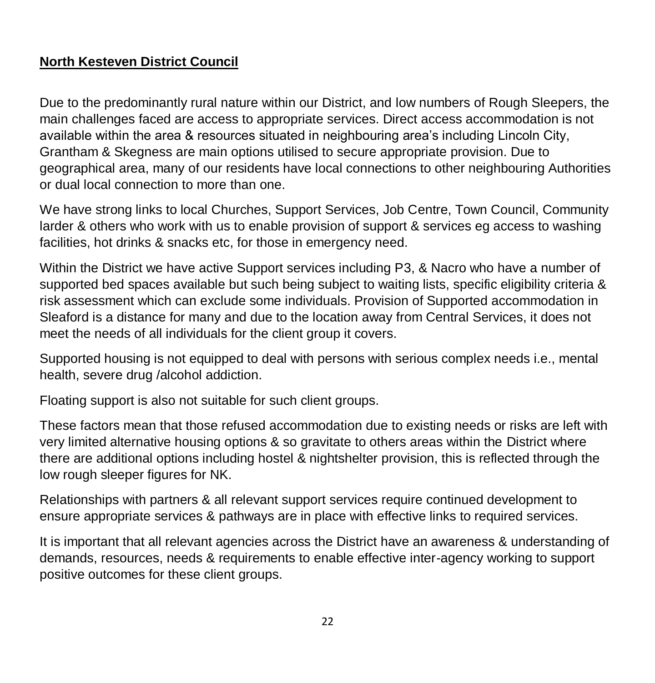# **North Kesteven District Council**

Due to the predominantly rural nature within our District, and low numbers of Rough Sleepers, the main challenges faced are access to appropriate services. Direct access accommodation is not available within the area & resources situated in neighbouring area's including Lincoln City, Grantham & Skegness are main options utilised to secure appropriate provision. Due to geographical area, many of our residents have local connections to other neighbouring Authorities or dual local connection to more than one.

We have strong links to local Churches, Support Services, Job Centre, Town Council, Community larder & others who work with us to enable provision of support & services eg access to washing facilities, hot drinks & snacks etc, for those in emergency need.

Within the District we have active Support services including P3, & Nacro who have a number of supported bed spaces available but such being subject to waiting lists, specific eligibility criteria & risk assessment which can exclude some individuals. Provision of Supported accommodation in Sleaford is a distance for many and due to the location away from Central Services, it does not meet the needs of all individuals for the client group it covers.

Supported housing is not equipped to deal with persons with serious complex needs i.e., mental health, severe drug /alcohol addiction.

Floating support is also not suitable for such client groups.

These factors mean that those refused accommodation due to existing needs or risks are left with very limited alternative housing options & so gravitate to others areas within the District where there are additional options including hostel & nightshelter provision, this is reflected through the low rough sleeper figures for NK.

Relationships with partners & all relevant support services require continued development to ensure appropriate services & pathways are in place with effective links to required services.

It is important that all relevant agencies across the District have an awareness & understanding of demands, resources, needs & requirements to enable effective inter-agency working to support positive outcomes for these client groups.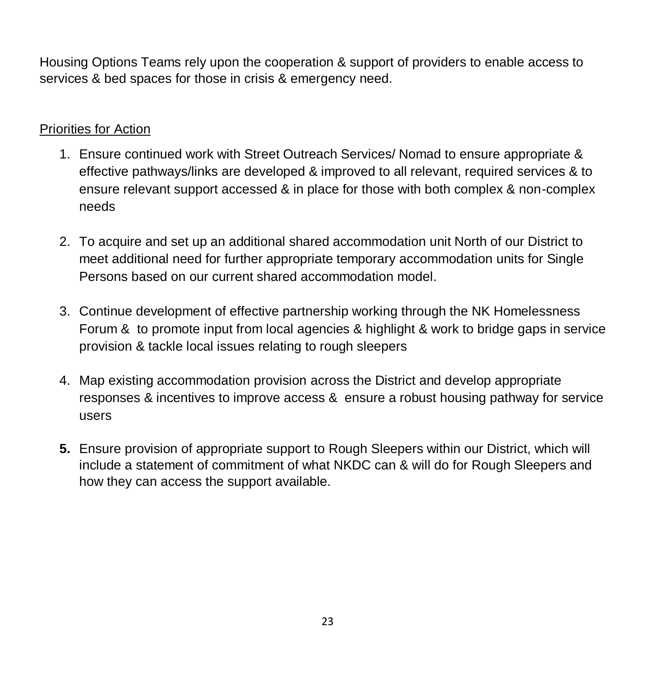Housing Options Teams rely upon the cooperation & support of providers to enable access to services & bed spaces for those in crisis & emergency need.

- 1. Ensure continued work with Street Outreach Services/ Nomad to ensure appropriate & effective pathways/links are developed & improved to all relevant, required services & to ensure relevant support accessed & in place for those with both complex & non-complex needs
- 2. To acquire and set up an additional shared accommodation unit North of our District to meet additional need for further appropriate temporary accommodation units for Single Persons based on our current shared accommodation model.
- 3. Continue development of effective partnership working through the NK Homelessness Forum & to promote input from local agencies & highlight & work to bridge gaps in service provision & tackle local issues relating to rough sleepers
- 4. Map existing accommodation provision across the District and develop appropriate responses & incentives to improve access & ensure a robust housing pathway for service users
- **5.** Ensure provision of appropriate support to Rough Sleepers within our District, which will include a statement of commitment of what NKDC can & will do for Rough Sleepers and how they can access the support available.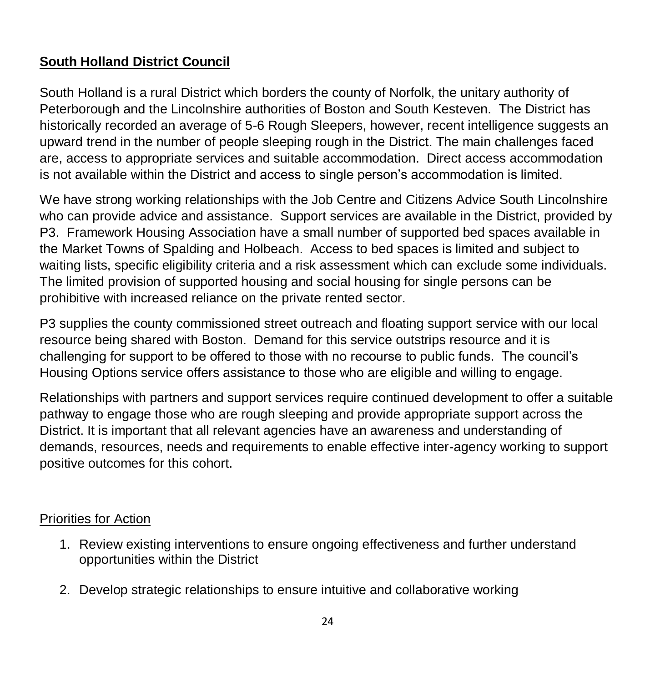# **South Holland District Council**

South Holland is a rural District which borders the county of Norfolk, the unitary authority of Peterborough and the Lincolnshire authorities of Boston and South Kesteven. The District has historically recorded an average of 5-6 Rough Sleepers, however, recent intelligence suggests an upward trend in the number of people sleeping rough in the District. The main challenges faced are, access to appropriate services and suitable accommodation. Direct access accommodation is not available within the District and access to single person's accommodation is limited.

We have strong working relationships with the Job Centre and Citizens Advice South Lincolnshire who can provide advice and assistance. Support services are available in the District, provided by P3. Framework Housing Association have a small number of supported bed spaces available in the Market Towns of Spalding and Holbeach. Access to bed spaces is limited and subject to waiting lists, specific eligibility criteria and a risk assessment which can exclude some individuals. The limited provision of supported housing and social housing for single persons can be prohibitive with increased reliance on the private rented sector.

P3 supplies the county commissioned street outreach and floating support service with our local resource being shared with Boston. Demand for this service outstrips resource and it is challenging for support to be offered to those with no recourse to public funds. The council's Housing Options service offers assistance to those who are eligible and willing to engage.

Relationships with partners and support services require continued development to offer a suitable pathway to engage those who are rough sleeping and provide appropriate support across the District. It is important that all relevant agencies have an awareness and understanding of demands, resources, needs and requirements to enable effective inter-agency working to support positive outcomes for this cohort.

- 1. Review existing interventions to ensure ongoing effectiveness and further understand opportunities within the District
- 2. Develop strategic relationships to ensure intuitive and collaborative working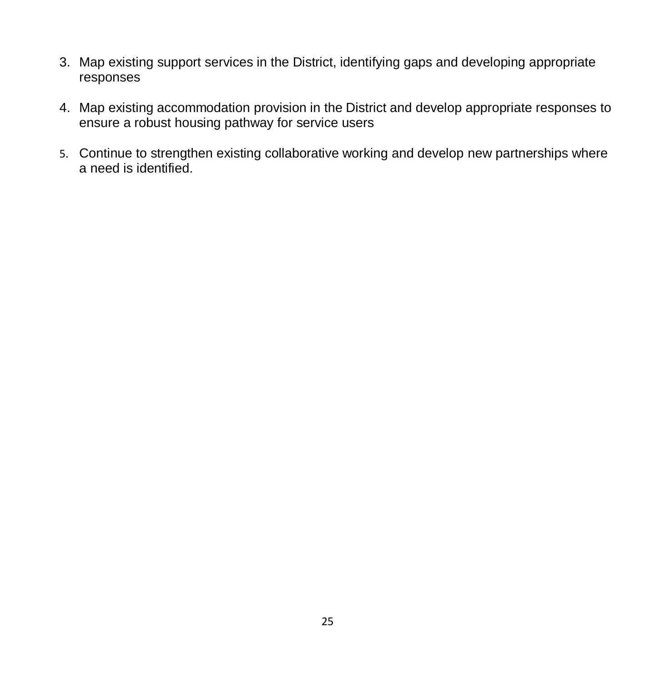- 3. Map existing support services in the District, identifying gaps and developing appropriate responses
- 4. Map existing accommodation provision in the District and develop appropriate responses to ensure a robust housing pathway for service users
- 5. Continue to strengthen existing collaborative working and develop new partnerships where a need is identified.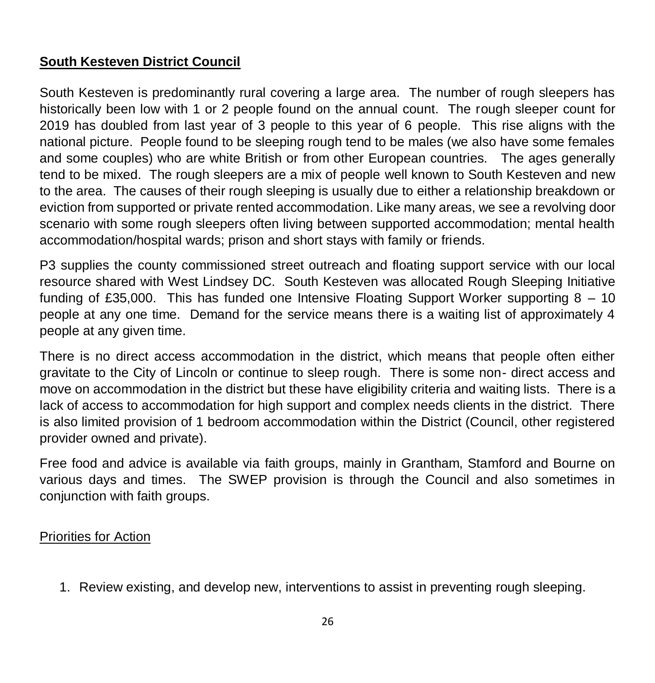# **South Kesteven District Council**

South Kesteven is predominantly rural covering a large area. The number of rough sleepers has historically been low with 1 or 2 people found on the annual count. The rough sleeper count for 2019 has doubled from last year of 3 people to this year of 6 people. This rise aligns with the national picture. People found to be sleeping rough tend to be males (we also have some females and some couples) who are white British or from other European countries. The ages generally tend to be mixed. The rough sleepers are a mix of people well known to South Kesteven and new to the area. The causes of their rough sleeping is usually due to either a relationship breakdown or eviction from supported or private rented accommodation. Like many areas, we see a revolving door scenario with some rough sleepers often living between supported accommodation; mental health accommodation/hospital wards; prison and short stays with family or friends.

P3 supplies the county commissioned street outreach and floating support service with our local resource shared with West Lindsey DC. South Kesteven was allocated Rough Sleeping Initiative funding of £35,000. This has funded one Intensive Floating Support Worker supporting 8 – 10 people at any one time. Demand for the service means there is a waiting list of approximately 4 people at any given time.

There is no direct access accommodation in the district, which means that people often either gravitate to the City of Lincoln or continue to sleep rough. There is some non- direct access and move on accommodation in the district but these have eligibility criteria and waiting lists. There is a lack of access to accommodation for high support and complex needs clients in the district. There is also limited provision of 1 bedroom accommodation within the District (Council, other registered provider owned and private).

Free food and advice is available via faith groups, mainly in Grantham, Stamford and Bourne on various days and times. The SWEP provision is through the Council and also sometimes in conjunction with faith groups.

#### Priorities for Action

1. Review existing, and develop new, interventions to assist in preventing rough sleeping.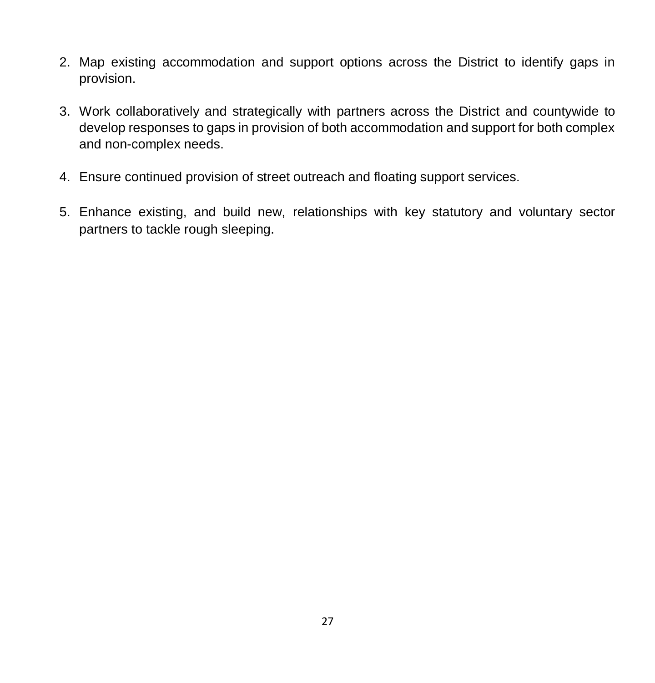- 2. Map existing accommodation and support options across the District to identify gaps in provision.
- 3. Work collaboratively and strategically with partners across the District and countywide to develop responses to gaps in provision of both accommodation and support for both complex and non-complex needs.
- 4. Ensure continued provision of street outreach and floating support services.
- 5. Enhance existing, and build new, relationships with key statutory and voluntary sector partners to tackle rough sleeping.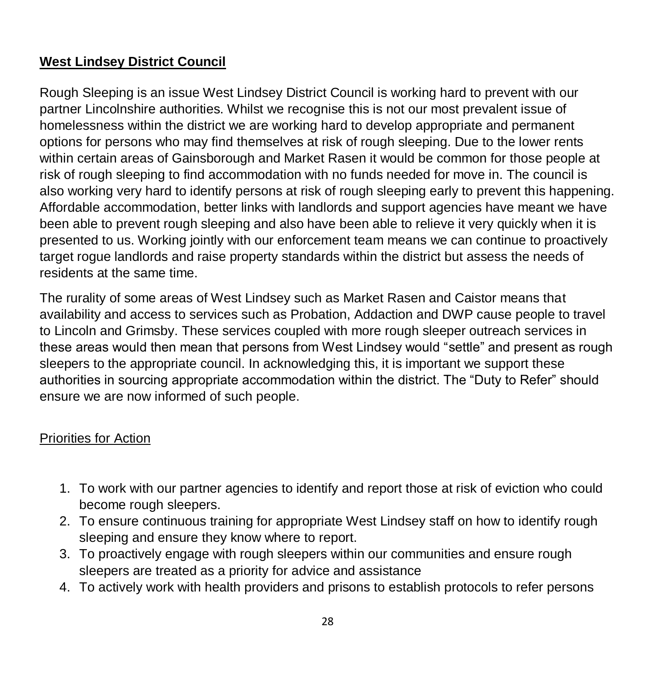# **West Lindsey District Council**

Rough Sleeping is an issue West Lindsey District Council is working hard to prevent with our partner Lincolnshire authorities. Whilst we recognise this is not our most prevalent issue of homelessness within the district we are working hard to develop appropriate and permanent options for persons who may find themselves at risk of rough sleeping. Due to the lower rents within certain areas of Gainsborough and Market Rasen it would be common for those people at risk of rough sleeping to find accommodation with no funds needed for move in. The council is also working very hard to identify persons at risk of rough sleeping early to prevent this happening. Affordable accommodation, better links with landlords and support agencies have meant we have been able to prevent rough sleeping and also have been able to relieve it very quickly when it is presented to us. Working jointly with our enforcement team means we can continue to proactively target rogue landlords and raise property standards within the district but assess the needs of residents at the same time.

The rurality of some areas of West Lindsey such as Market Rasen and Caistor means that availability and access to services such as Probation, Addaction and DWP cause people to travel to Lincoln and Grimsby. These services coupled with more rough sleeper outreach services in these areas would then mean that persons from West Lindsey would "settle" and present as rough sleepers to the appropriate council. In acknowledging this, it is important we support these authorities in sourcing appropriate accommodation within the district. The "Duty to Refer" should ensure we are now informed of such people.

- 1. To work with our partner agencies to identify and report those at risk of eviction who could become rough sleepers.
- 2. To ensure continuous training for appropriate West Lindsey staff on how to identify rough sleeping and ensure they know where to report.
- 3. To proactively engage with rough sleepers within our communities and ensure rough sleepers are treated as a priority for advice and assistance
- 4. To actively work with health providers and prisons to establish protocols to refer persons